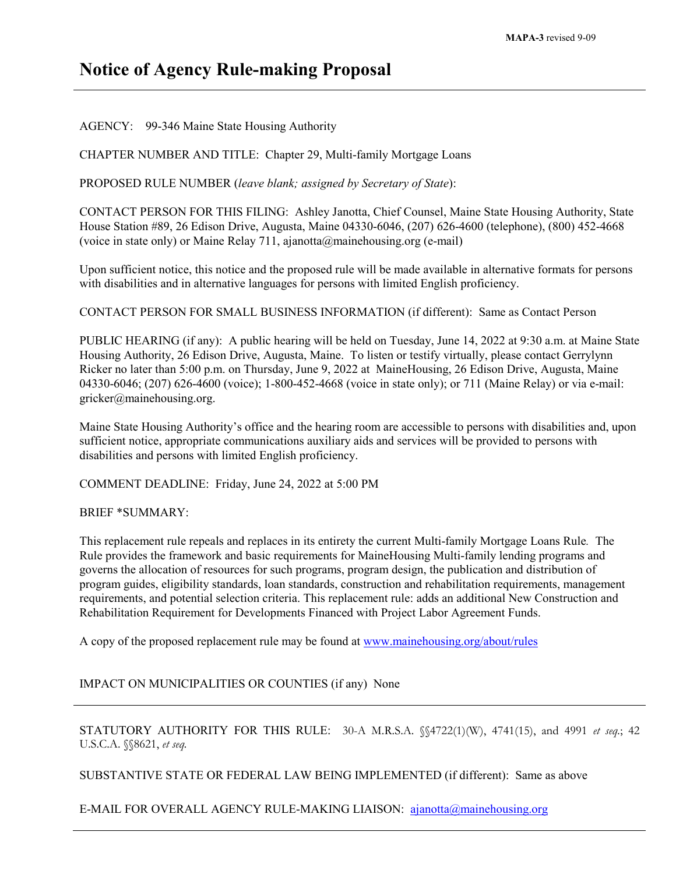## **Notice of Agency Rule-making Proposal**

AGENCY: 99-346 Maine State Housing Authority

CHAPTER NUMBER AND TITLE: Chapter 29, Multi-family Mortgage Loans

PROPOSED RULE NUMBER (*leave blank; assigned by Secretary of State*):

CONTACT PERSON FOR THIS FILING: Ashley Janotta, Chief Counsel, Maine State Housing Authority, State House Station #89, 26 Edison Drive, Augusta, Maine 04330-6046, (207) 626-4600 (telephone), (800) 452-4668 (voice in state only) or Maine Relay 711, ajanotta@mainehousing.org (e-mail)

Upon sufficient notice, this notice and the proposed rule will be made available in alternative formats for persons with disabilities and in alternative languages for persons with limited English proficiency.

CONTACT PERSON FOR SMALL BUSINESS INFORMATION (if different): Same as Contact Person

PUBLIC HEARING (if any): A public hearing will be held on Tuesday, June 14, 2022 at 9:30 a.m. at Maine State Housing Authority, 26 Edison Drive, Augusta, Maine. To listen or testify virtually, please contact Gerrylynn Ricker no later than 5:00 p.m. on Thursday, June 9, 2022 at MaineHousing, 26 Edison Drive, Augusta, Maine 04330-6046; (207) 626-4600 (voice); 1-800-452-4668 (voice in state only); or 711 (Maine Relay) or via e-mail: gricker@mainehousing.org.

Maine State Housing Authority's office and the hearing room are accessible to persons with disabilities and, upon sufficient notice, appropriate communications auxiliary aids and services will be provided to persons with disabilities and persons with limited English proficiency.

COMMENT DEADLINE: Friday, June 24, 2022 at 5:00 PM

BRIEF \*SUMMARY:

This replacement rule repeals and replaces in its entirety the current Multi-family Mortgage Loans Rule*.* The Rule provides the framework and basic requirements for MaineHousing Multi-family lending programs and governs the allocation of resources for such programs, program design, the publication and distribution of program guides, eligibility standards, loan standards, construction and rehabilitation requirements, management requirements, and potential selection criteria. This replacement rule: adds an additional New Construction and Rehabilitation Requirement for Developments Financed with Project Labor Agreement Funds.

A copy of the proposed replacement rule may be found at [www.mainehousing.org/about/rules](http://www.mainehousing.org/about/rules)

IMPACT ON MUNICIPALITIES OR COUNTIES (if any) None

STATUTORY AUTHORITY FOR THIS RULE: 30-A M.R.S.A. §§4722(1)(W), 4741(15), and 4991 *et seq.*; 42 U.S.C.A. §§8621, *et seq.*

SUBSTANTIVE STATE OR FEDERAL LAW BEING IMPLEMENTED (if different): Same as above

E-MAIL FOR OVERALL AGENCY RULE-MAKING LIAISON: [ajanotta@mainehousing.org](mailto:ajanotta@mainehousing.org)